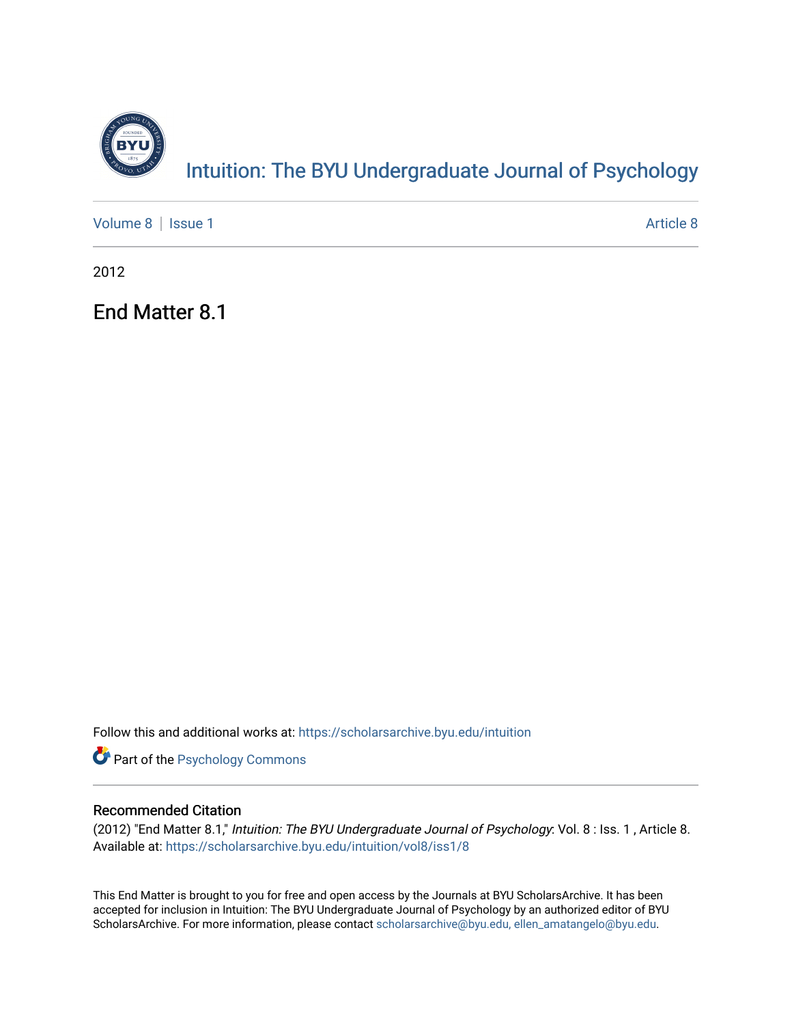

[Volume 8](https://scholarsarchive.byu.edu/intuition/vol8) | [Issue 1](https://scholarsarchive.byu.edu/intuition/vol8/iss1) [Article 8](https://scholarsarchive.byu.edu/intuition/vol8/iss1/8) | Article 8 | Article 8 | Article 8 | Article 8 | Article 8 | Article 8 | Article 8 | Article 8 | Article 8 | Article 8 | Article 8 | Article 8 | Article 8 | Article 8 | Article 8 | Article 8 |

2012

End Matter 8.1

Follow this and additional works at: [https://scholarsarchive.byu.edu/intuition](https://scholarsarchive.byu.edu/intuition?utm_source=scholarsarchive.byu.edu%2Fintuition%2Fvol8%2Fiss1%2F8&utm_medium=PDF&utm_campaign=PDFCoverPages) 

**Part of the Psychology Commons** 

#### Recommended Citation

(2012) "End Matter 8.1," Intuition: The BYU Undergraduate Journal of Psychology: Vol. 8 : Iss. 1 , Article 8. Available at: [https://scholarsarchive.byu.edu/intuition/vol8/iss1/8](https://scholarsarchive.byu.edu/intuition/vol8/iss1/8?utm_source=scholarsarchive.byu.edu%2Fintuition%2Fvol8%2Fiss1%2F8&utm_medium=PDF&utm_campaign=PDFCoverPages)

This End Matter is brought to you for free and open access by the Journals at BYU ScholarsArchive. It has been accepted for inclusion in Intuition: The BYU Undergraduate Journal of Psychology by an authorized editor of BYU ScholarsArchive. For more information, please contact [scholarsarchive@byu.edu, ellen\\_amatangelo@byu.edu.](mailto:scholarsarchive@byu.edu,%20ellen_amatangelo@byu.edu)